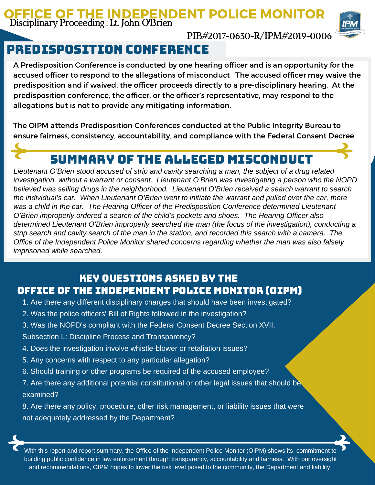## OFFICE OF THE INDEPENDENT POLICE MONITOR Disciplinary Proceeding : Lt.John O'Brien



PIB#2017-0630-R/IPM#2019-0006

# predisposition conference

A Predisposition Conference is conducted by one hearing officer and is an opportunity for the accused officer to respond to the allegations of misconduct. The accused officer may waive the predisposition and if waived, the officer proceeds directly to a pre-disciplinary hearing. At the predisposition conference, the officer, or the officer's representative, may respond to the allegations but is not to provide any mitigating information.

The OIPM attends Predisposition Conferences conducted at the Public Integrity Bureau to ensure fairness, consistency, accountability, and compliance with the Federal Consent Decree.

## Summary of the Alleged Misconduct

*Lieutenant O'Brien stood accused of strip and cavity searching a man, the subject of a drug related investigation, without a warrant or consent. Lieutenant O'Brien was investigating a person who the NOPD believed was selling drugs in the neighborhood. Lieutenant O'Brien received a search warrant to search the individual's car. When Lieutenant O'Brien went to initiate the warrant and pulled over the car, there was a child in the car. The Hearing Officer of the Predisposition Conference determined Lieutenant O'Brien improperly ordered a search of the child's pockets and shoes. The Hearing Officer also determined Lieutenant O'Brien improperly searched the man (the focus of the investigation), conducting a* strip search and cavity search of the man in the station, and recorded this search with a camera. The *Office of the Independent Police Monitor shared concerns regarding whether the man was also falsely imprisoned while searched.*

## Key Questions Asked by the Office of the Independent Police Monitor (OIPM)

- 1. Are there any different disciplinary charges that should have been investigated?
- 2. Was the police officers' Bill of Rights followed in the investigation?
- 3. Was the NOPD's compliant with the Federal Consent Decree Section XVII,

Subsection L: Discipline Process and Transparency?

- 4. Does the investigation involve whistle-blower or retaliation issues?
- 5. Any concerns with respect to any particular allegation?
- 6. Should training or other programs be required of the accused employee?

7. Are there any additional potential constitutional or other legal issues that should be examined?

8. Are there any policy, procedure, other risk management, or liability issues that were not adequately addressed by the Department?

With this report and report summary, the Office of the Independent Police Monitor (OIPM) shows its commitment to building public confidence in law enforcement through transparency, accountability and fairness. With our oversight and recommendations, OIPM hopes to lower the risk level posed to the community, the Department and liability.